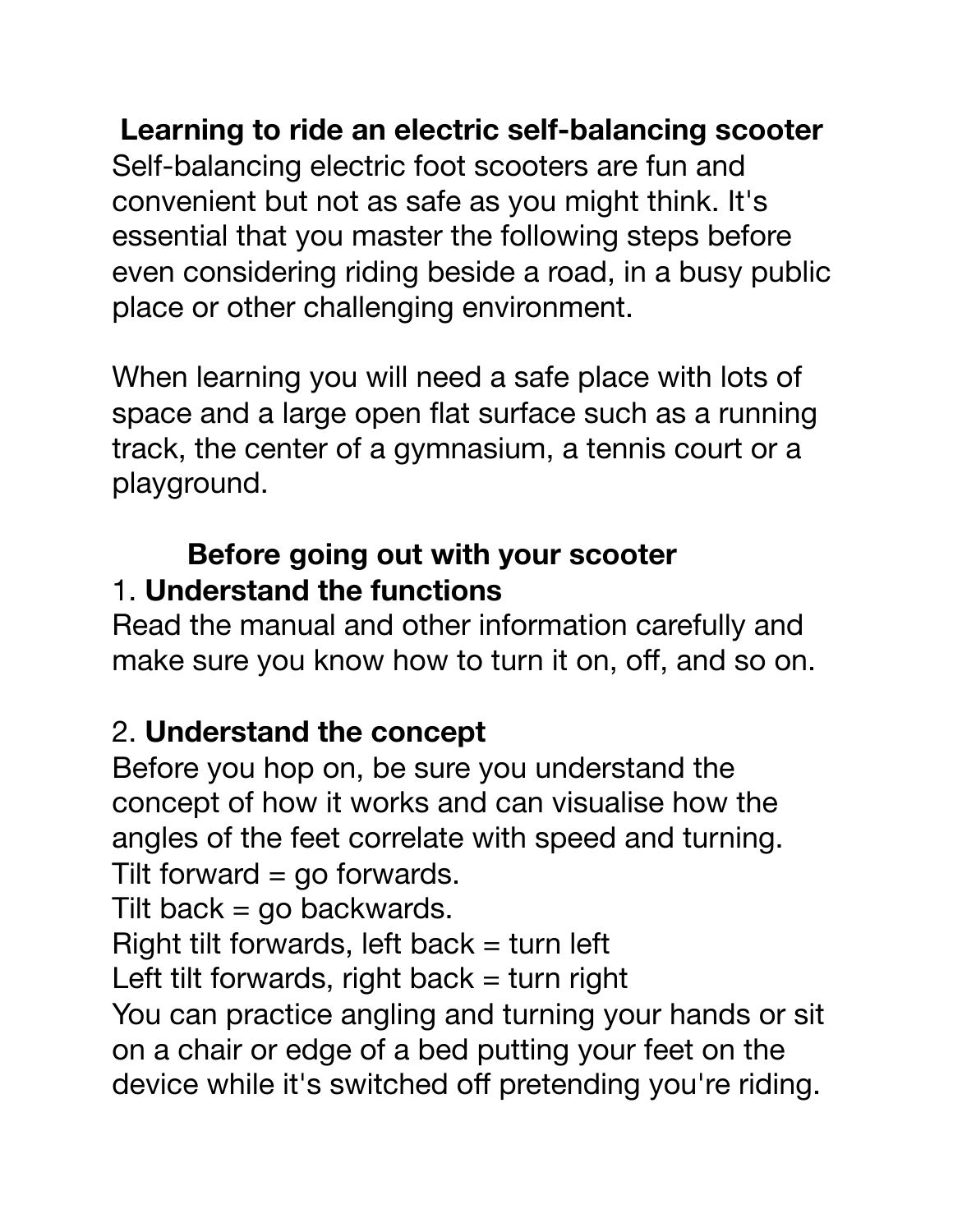**Learning to ride an electric self-balancing scooter**

Self-balancing electric foot scooters are fun and convenient but not as safe as you might think. It's essential that you master the following steps before even considering riding beside a road, in a busy public place or other challenging environment.

When learning you will need a safe place with lots of space and a large open flat surface such as a running track, the center of a gymnasium, a tennis court or a playground.

#### **Before going out with your scooter**  1. **Understand the functions**

Read the manual and other information carefully and make sure you know how to turn it on, off, and so on.

### 2. **Understand the concept**

Before you hop on, be sure you understand the concept of how it works and can visualise how the angles of the feet correlate with speed and turning. Tilt forward  $=$  go forwards.

Tilt back  $=$  go backwards.

Right tilt forwards, left back  $=$  turn left

Left tilt forwards, right back  $=$  turn right

You can practice angling and turning your hands or sit on a chair or edge of a bed putting your feet on the device while it's switched off pretending you're riding.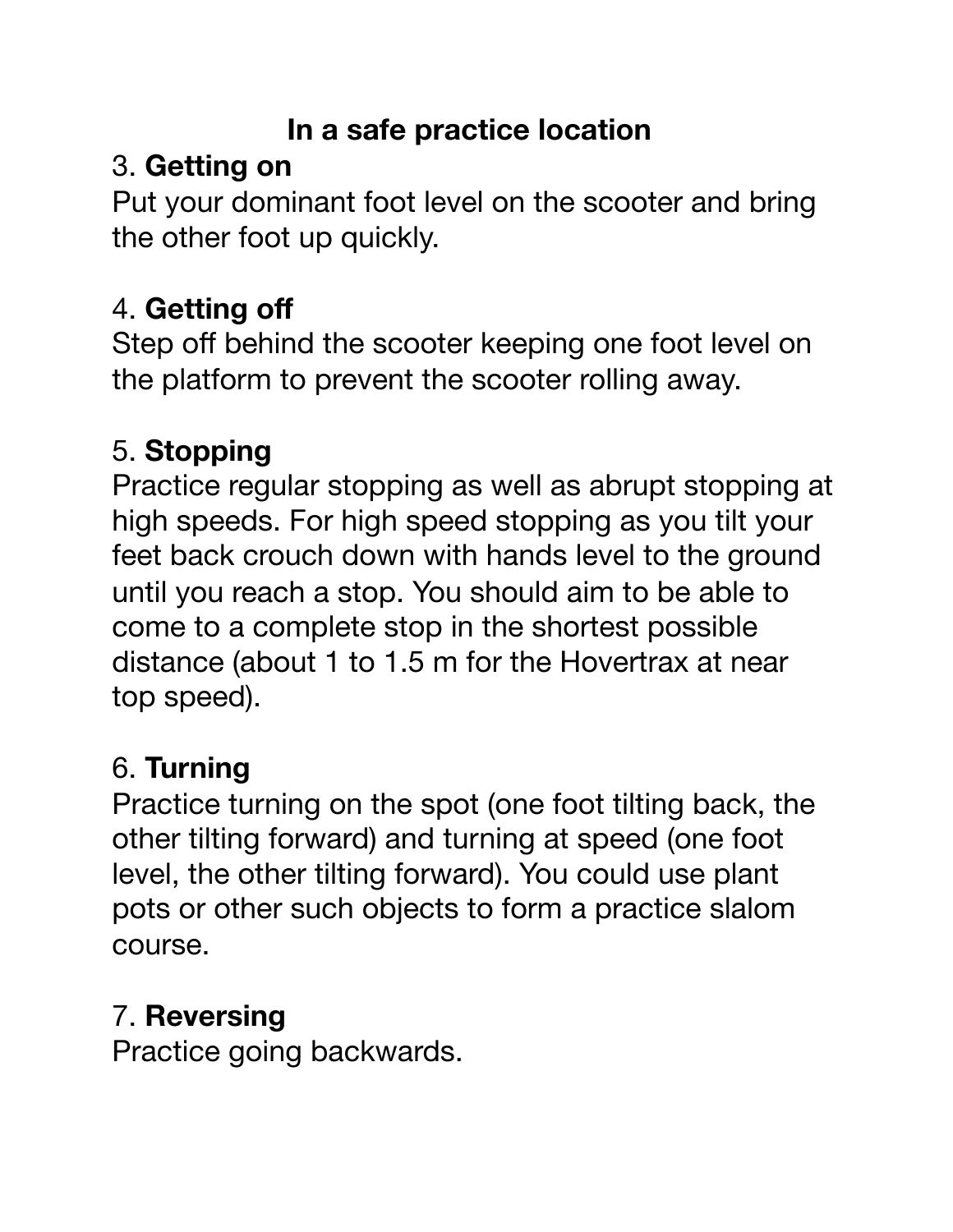### **In a safe practice location**

# 3. **Getting on**

Put your dominant foot level on the scooter and bring the other foot up quickly.

# 4. **Getting off**

Step off behind the scooter keeping one foot level on the platform to prevent the scooter rolling away.

# 5. **Stopping**

Practice regular stopping as well as abrupt stopping at high speeds. For high speed stopping as you tilt your feet back crouch down with hands level to the ground until you reach a stop. You should aim to be able to come to a complete stop in the shortest possible distance (about 1 to 1.5 m for the Hovertrax at near top speed).

## 6. **Turning**

Practice turning on the spot (one foot tilting back, the other tilting forward) and turning at speed (one foot level, the other tilting forward). You could use plant pots or other such objects to form a practice slalom course.

# 7. **Reversing**

Practice going backwards.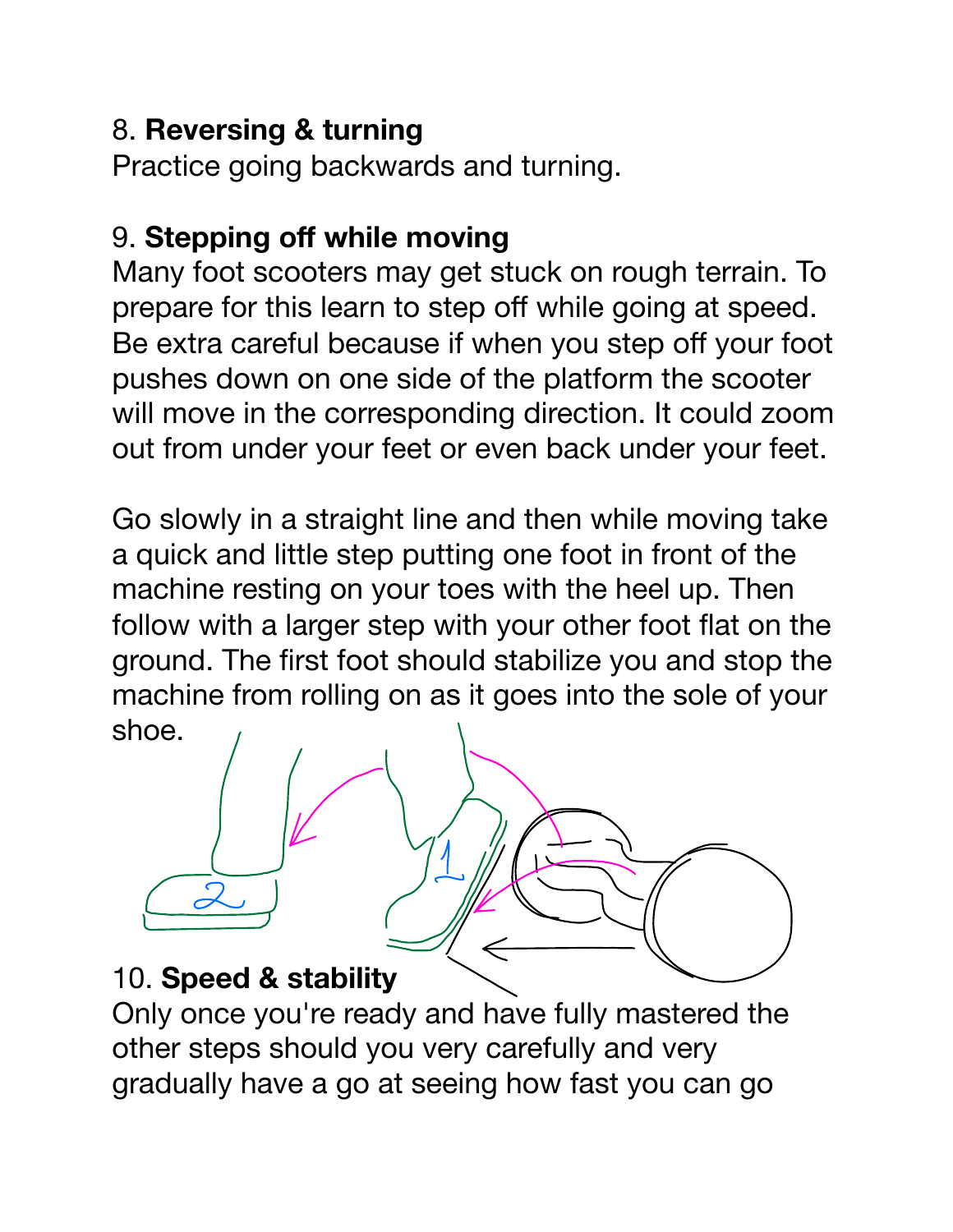### 8. **Reversing & turning**

Practice going backwards and turning.

### 9. **Stepping off while moving**

Many foot scooters may get stuck on rough terrain. To prepare for this learn to step off while going at speed. Be extra careful because if when you step off your foot pushes down on one side of the platform the scooter will move in the corresponding direction. It could zoom out from under your feet or even back under your feet.

Go slowly in a straight line and then while moving take a quick and little step putting one foot in front of the machine resting on your toes with the heel up. Then follow with a larger step with your other foot flat on the ground. The first foot should stabilize you and stop the machine from rolling on as it goes into the sole of your shoe.



Only once you're ready and have fully mastered the other steps should you very carefully and very gradually have a go at seeing how fast you can go